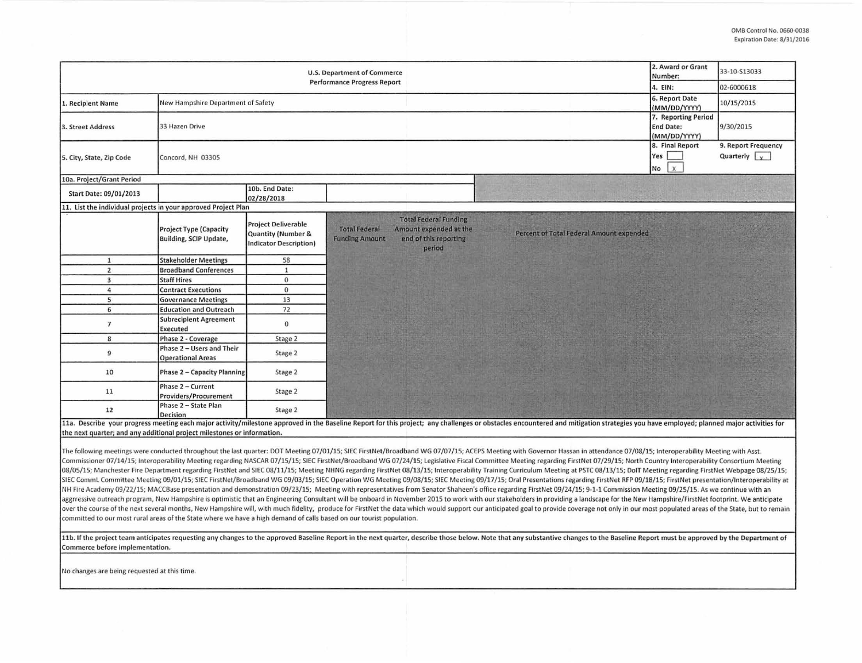| <b>U.S. Department of Commerce</b><br><b>Performance Progress Report</b>                                                                                                                                                                                                                                                                                                                                                                                                                                                                                                                                                                                                                                                                                                                                                                                                                                                                                                                                                                                                                                                                                                                                                                                                                                                                                                                                                                                                                                                                                                                                                                                                                                                                                       |                                                         |                                                                            |                                               |                                                                                           |  | 2. Award or Grant<br>Number:<br>4. EIN:                 | 33-10-S13033<br>02-6000618                   |                                             |
|----------------------------------------------------------------------------------------------------------------------------------------------------------------------------------------------------------------------------------------------------------------------------------------------------------------------------------------------------------------------------------------------------------------------------------------------------------------------------------------------------------------------------------------------------------------------------------------------------------------------------------------------------------------------------------------------------------------------------------------------------------------------------------------------------------------------------------------------------------------------------------------------------------------------------------------------------------------------------------------------------------------------------------------------------------------------------------------------------------------------------------------------------------------------------------------------------------------------------------------------------------------------------------------------------------------------------------------------------------------------------------------------------------------------------------------------------------------------------------------------------------------------------------------------------------------------------------------------------------------------------------------------------------------------------------------------------------------------------------------------------------------|---------------------------------------------------------|----------------------------------------------------------------------------|-----------------------------------------------|-------------------------------------------------------------------------------------------|--|---------------------------------------------------------|----------------------------------------------|---------------------------------------------|
| 1. Recipient Name                                                                                                                                                                                                                                                                                                                                                                                                                                                                                                                                                                                                                                                                                                                                                                                                                                                                                                                                                                                                                                                                                                                                                                                                                                                                                                                                                                                                                                                                                                                                                                                                                                                                                                                                              | New Hampshire Department of Safety                      |                                                                            |                                               |                                                                                           |  | 6. Report Date<br>(MM/DD/YYYY)                          | 10/15/2015                                   |                                             |
| 3. Street Address                                                                                                                                                                                                                                                                                                                                                                                                                                                                                                                                                                                                                                                                                                                                                                                                                                                                                                                                                                                                                                                                                                                                                                                                                                                                                                                                                                                                                                                                                                                                                                                                                                                                                                                                              | 33 Hazen Drive                                          |                                                                            |                                               |                                                                                           |  | 7. Reporting Period<br><b>End Date:</b><br>(MM/DD/YYYY) | 9/30/2015                                    |                                             |
| 5. City, State, Zip Code                                                                                                                                                                                                                                                                                                                                                                                                                                                                                                                                                                                                                                                                                                                                                                                                                                                                                                                                                                                                                                                                                                                                                                                                                                                                                                                                                                                                                                                                                                                                                                                                                                                                                                                                       | Concord, NH 03305                                       |                                                                            |                                               |                                                                                           |  |                                                         | 8. Final Report<br>Yes<br>$\mathbf{x}$<br>No | 9. Report Frequency<br>Quarterly $\sqrt{y}$ |
| 10a. Project/Grant Period                                                                                                                                                                                                                                                                                                                                                                                                                                                                                                                                                                                                                                                                                                                                                                                                                                                                                                                                                                                                                                                                                                                                                                                                                                                                                                                                                                                                                                                                                                                                                                                                                                                                                                                                      |                                                         |                                                                            |                                               |                                                                                           |  |                                                         |                                              |                                             |
| Start Date: 09/01/2013                                                                                                                                                                                                                                                                                                                                                                                                                                                                                                                                                                                                                                                                                                                                                                                                                                                                                                                                                                                                                                                                                                                                                                                                                                                                                                                                                                                                                                                                                                                                                                                                                                                                                                                                         |                                                         | 10b. End Date:<br>02/28/2018                                               |                                               |                                                                                           |  |                                                         |                                              |                                             |
| 11. List the individual projects in your approved Project Plan                                                                                                                                                                                                                                                                                                                                                                                                                                                                                                                                                                                                                                                                                                                                                                                                                                                                                                                                                                                                                                                                                                                                                                                                                                                                                                                                                                                                                                                                                                                                                                                                                                                                                                 |                                                         |                                                                            |                                               |                                                                                           |  |                                                         |                                              |                                             |
|                                                                                                                                                                                                                                                                                                                                                                                                                                                                                                                                                                                                                                                                                                                                                                                                                                                                                                                                                                                                                                                                                                                                                                                                                                                                                                                                                                                                                                                                                                                                                                                                                                                                                                                                                                | <b>Project Type (Capacity</b><br>Building, SCIP Update, | <b>Project Deliverable</b><br>Quantity (Number &<br>Indicator Description) | <b>Total Federal</b><br><b>Funding Amount</b> | <b>Total Federal Funding</b><br>Amount expended at the<br>end of this reporting<br>period |  | Percent of Total Federal Amount expended                |                                              |                                             |
| $\mathbf{1}$                                                                                                                                                                                                                                                                                                                                                                                                                                                                                                                                                                                                                                                                                                                                                                                                                                                                                                                                                                                                                                                                                                                                                                                                                                                                                                                                                                                                                                                                                                                                                                                                                                                                                                                                                   | <b>Stakeholder Meetings</b>                             | 58                                                                         |                                               |                                                                                           |  |                                                         |                                              |                                             |
| $\overline{2}$                                                                                                                                                                                                                                                                                                                                                                                                                                                                                                                                                                                                                                                                                                                                                                                                                                                                                                                                                                                                                                                                                                                                                                                                                                                                                                                                                                                                                                                                                                                                                                                                                                                                                                                                                 | <b>Broadband Conferences</b>                            | $\mathbf 1$                                                                |                                               |                                                                                           |  |                                                         |                                              |                                             |
| $\overline{\mathbf{3}}$                                                                                                                                                                                                                                                                                                                                                                                                                                                                                                                                                                                                                                                                                                                                                                                                                                                                                                                                                                                                                                                                                                                                                                                                                                                                                                                                                                                                                                                                                                                                                                                                                                                                                                                                        | <b>Staff Hires</b>                                      | $\mathbf{0}$                                                               |                                               |                                                                                           |  |                                                         |                                              |                                             |
| 4                                                                                                                                                                                                                                                                                                                                                                                                                                                                                                                                                                                                                                                                                                                                                                                                                                                                                                                                                                                                                                                                                                                                                                                                                                                                                                                                                                                                                                                                                                                                                                                                                                                                                                                                                              | <b>Contract Executions</b>                              | $\mathbf{0}$                                                               |                                               |                                                                                           |  |                                                         |                                              |                                             |
| 5                                                                                                                                                                                                                                                                                                                                                                                                                                                                                                                                                                                                                                                                                                                                                                                                                                                                                                                                                                                                                                                                                                                                                                                                                                                                                                                                                                                                                                                                                                                                                                                                                                                                                                                                                              | <b>Governance Meetings</b>                              | 13                                                                         |                                               |                                                                                           |  |                                                         |                                              |                                             |
| 6                                                                                                                                                                                                                                                                                                                                                                                                                                                                                                                                                                                                                                                                                                                                                                                                                                                                                                                                                                                                                                                                                                                                                                                                                                                                                                                                                                                                                                                                                                                                                                                                                                                                                                                                                              | <b>Education and Outreach</b>                           | 72                                                                         |                                               |                                                                                           |  |                                                         |                                              |                                             |
| $\overline{7}$                                                                                                                                                                                                                                                                                                                                                                                                                                                                                                                                                                                                                                                                                                                                                                                                                                                                                                                                                                                                                                                                                                                                                                                                                                                                                                                                                                                                                                                                                                                                                                                                                                                                                                                                                 | <b>Subrecipient Agreement</b><br><b>Executed</b>        | $\mathbf 0$                                                                |                                               |                                                                                           |  |                                                         |                                              |                                             |
| 8                                                                                                                                                                                                                                                                                                                                                                                                                                                                                                                                                                                                                                                                                                                                                                                                                                                                                                                                                                                                                                                                                                                                                                                                                                                                                                                                                                                                                                                                                                                                                                                                                                                                                                                                                              | <b>Phase 2 - Coverage</b>                               | Stage 2                                                                    |                                               |                                                                                           |  |                                                         |                                              |                                             |
| $\overline{9}$                                                                                                                                                                                                                                                                                                                                                                                                                                                                                                                                                                                                                                                                                                                                                                                                                                                                                                                                                                                                                                                                                                                                                                                                                                                                                                                                                                                                                                                                                                                                                                                                                                                                                                                                                 | Phase 2 - Users and Their<br><b>Operational Areas</b>   | Stage 2                                                                    |                                               |                                                                                           |  |                                                         |                                              |                                             |
| 10                                                                                                                                                                                                                                                                                                                                                                                                                                                                                                                                                                                                                                                                                                                                                                                                                                                                                                                                                                                                                                                                                                                                                                                                                                                                                                                                                                                                                                                                                                                                                                                                                                                                                                                                                             | <b>Phase 2 - Capacity Planning</b>                      | Stage 2                                                                    |                                               |                                                                                           |  |                                                         |                                              |                                             |
| 11                                                                                                                                                                                                                                                                                                                                                                                                                                                                                                                                                                                                                                                                                                                                                                                                                                                                                                                                                                                                                                                                                                                                                                                                                                                                                                                                                                                                                                                                                                                                                                                                                                                                                                                                                             | Phase 2 - Current<br>Providers/Procurement              | Stage 2                                                                    |                                               |                                                                                           |  |                                                         |                                              |                                             |
| 12                                                                                                                                                                                                                                                                                                                                                                                                                                                                                                                                                                                                                                                                                                                                                                                                                                                                                                                                                                                                                                                                                                                                                                                                                                                                                                                                                                                                                                                                                                                                                                                                                                                                                                                                                             | Phase 2 - State Plan<br><b>Decision</b>                 | Stage 2                                                                    |                                               |                                                                                           |  |                                                         |                                              |                                             |
| 11a. Describe your progress meeting each major activity/milestone approved in the Baseline Report for this project; any challenges or obstacles encountered and mitigation strategies you have employed; planned major activit                                                                                                                                                                                                                                                                                                                                                                                                                                                                                                                                                                                                                                                                                                                                                                                                                                                                                                                                                                                                                                                                                                                                                                                                                                                                                                                                                                                                                                                                                                                                 |                                                         |                                                                            |                                               |                                                                                           |  |                                                         |                                              |                                             |
| the next quarter; and any additional project milestones or information.                                                                                                                                                                                                                                                                                                                                                                                                                                                                                                                                                                                                                                                                                                                                                                                                                                                                                                                                                                                                                                                                                                                                                                                                                                                                                                                                                                                                                                                                                                                                                                                                                                                                                        |                                                         |                                                                            |                                               |                                                                                           |  |                                                         |                                              |                                             |
| The following meetings were conducted throughout the last quarter: DOT Meeting 07/01/15; SIEC FirstNet/Broadband WG 07/07/15; ACEPS Meeting with Governor Hassan in attendance 07/08/15; Interoperability Meeting with Asst.<br>Commissioner 07/14/15; Interoperability Meeting regarding NASCAR 07/15/15; SIEC FirstNet/Broadband WG 07/24/15; Legislative Fiscal Committee Meeting regarding FirstNet 07/29/15; North Country Interoperability Consortium Me<br>08/05/15; Manchester Fire Department regarding FirstNet and SIEC 08/11/15; Meeting NHNG regarding FirstNet 08/13/15; Interoperability Training Curriculum Meeting at PSTC 08/13/15; DoIT Meeting regarding FirstNet Webpage 08<br>SIEC CommL Committee Meeting 09/01/15; SIEC FirstNet/Broadband WG 09/03/15; SIEC Operation WG Meeting 09/08/15; SIEC Meeting 09/17/15; Oral Presentations regarding FirstNet RFP 09/18/15; FirstNet presentation/Interoperabil<br>NH Fire Academy 09/22/15; MACCBase presentation and demonstration 09/23/15; Meeting with representatives from Senator Shaheen's office regarding FirstNet 09/24/15; 9-1-1 Commission Meeting 09/25/15. As we continue with an<br>aggrressive outreach program, New Hampshire is optimistic that an Engineering Consultant will be onboard in November 2015 to work with our stakeholders in providing a landscape for the New Hampshire/FirstNet footprint. We<br>over the course of the next several months, New Hampshire will, with much fidelity, produce for FirstNet the data which would support our anticipated goal to provide coverage not only in our most populated areas of the Sta<br>committed to our most rural areas of the State where we have a high demand of calls based on our tourist population. |                                                         |                                                                            |                                               |                                                                                           |  |                                                         |                                              |                                             |
| 11b. If the project team anticipates requesting any changes to the approved Baseline Report in the next quarter, describe those below. Note that any substantive changes to the Baseline Report must be approved by the Depart<br>Commerce before implementation.                                                                                                                                                                                                                                                                                                                                                                                                                                                                                                                                                                                                                                                                                                                                                                                                                                                                                                                                                                                                                                                                                                                                                                                                                                                                                                                                                                                                                                                                                              |                                                         |                                                                            |                                               |                                                                                           |  |                                                         |                                              |                                             |
| No changes are being requested at this time.                                                                                                                                                                                                                                                                                                                                                                                                                                                                                                                                                                                                                                                                                                                                                                                                                                                                                                                                                                                                                                                                                                                                                                                                                                                                                                                                                                                                                                                                                                                                                                                                                                                                                                                   |                                                         |                                                                            |                                               |                                                                                           |  |                                                         |                                              |                                             |
|                                                                                                                                                                                                                                                                                                                                                                                                                                                                                                                                                                                                                                                                                                                                                                                                                                                                                                                                                                                                                                                                                                                                                                                                                                                                                                                                                                                                                                                                                                                                                                                                                                                                                                                                                                |                                                         |                                                                            |                                               |                                                                                           |  |                                                         |                                              |                                             |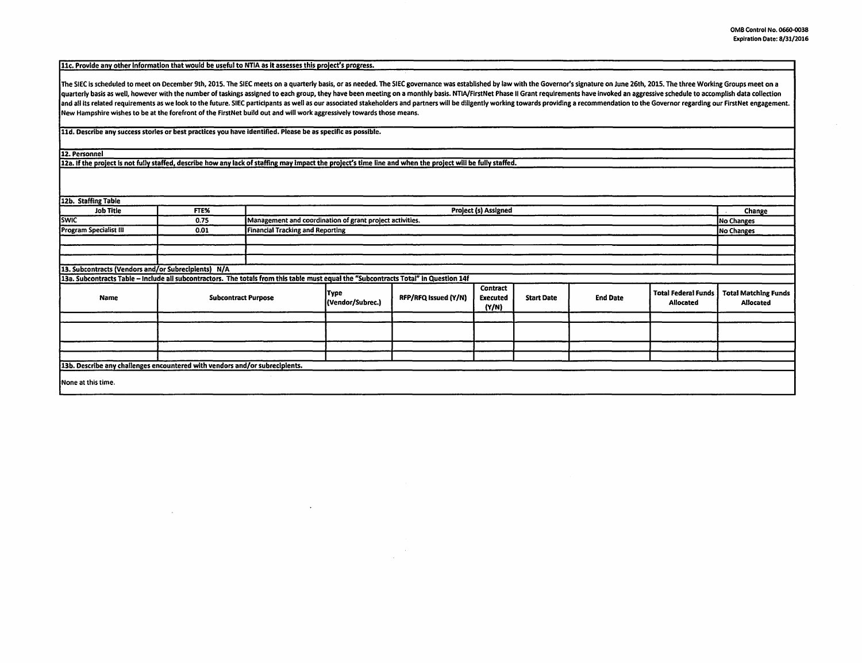11c. Provide any other information that would be useful to NTIA as it assesses this project's progress.

The SIEC is scheduled to meet on December 9th, 2015. The SIEC meets on a quarterly basis, or as needed. The SIEC governance was established by law with the Governor's signature on June 26th, 2015. The three Working Groups quarterly basis as well, however with the number of taskings assigned to each group, they have been meeting on a monthly basis. NTIA/FirstNet Phase II Grant requirements have invoked an aggressive schedule to accomplish da and all its related requirements as we look to the future. SIEC participants as well as our associated stakeholders and partners will be diligently working towards providing a recommendation to the Governor regarding our F New Hampshire wishes to be at the forefront of the FirstNet build out and will work aggressively towards those means.

lld. Describe any success stories or best practices you have identified. Please be as specific as possible.

 $\sim$ 

12. Personnel

12a. If the project is not fully staffed, describe how any lack of staffing may Impact the project's time line and when the project will be fully staffed.

| 12b. Staffing Table                                                                                                                  |      |                                  |                                                                        |                      |                                      |                   |                 |                                                |                                                 |
|--------------------------------------------------------------------------------------------------------------------------------------|------|----------------------------------|------------------------------------------------------------------------|----------------------|--------------------------------------|-------------------|-----------------|------------------------------------------------|-------------------------------------------------|
| <b>Job Title</b>                                                                                                                     | FTE% | <b>Project (s) Assigned</b>      |                                                                        |                      |                                      |                   |                 |                                                | Change                                          |
| <b>SWIC</b>                                                                                                                          | 0.75 |                                  | Management and coordination of grant project activities.<br>No Changes |                      |                                      |                   |                 |                                                |                                                 |
| <b>Program Specialist III</b>                                                                                                        | 0.01 | Financial Tracking and Reporting |                                                                        |                      |                                      |                   |                 |                                                | No Changes                                      |
|                                                                                                                                      |      |                                  |                                                                        |                      |                                      |                   |                 |                                                |                                                 |
|                                                                                                                                      |      |                                  |                                                                        |                      |                                      |                   |                 |                                                |                                                 |
|                                                                                                                                      |      |                                  |                                                                        |                      |                                      |                   |                 |                                                |                                                 |
| 13. Subcontracts (Vendors and/or Subrecipients) N/A                                                                                  |      |                                  |                                                                        |                      |                                      |                   |                 |                                                |                                                 |
| 13a. Subcontracts Table - Include all subcontractors. The totals from this table must equal the "Subcontracts Total" in Question 14f |      |                                  |                                                                        |                      |                                      |                   |                 |                                                |                                                 |
| Name                                                                                                                                 |      | <b>Subcontract Purpose</b>       | Type<br>(Vendor/Subrec.)                                               | RFP/RFQ Issued (Y/N) | Contract<br><b>Executed</b><br>(Y/N) | <b>Start Date</b> | <b>End Date</b> | <b>Total Federal Funds</b><br><b>Allocated</b> | <b>Total Matching Funds</b><br><b>Allocated</b> |
|                                                                                                                                      |      |                                  |                                                                        |                      |                                      |                   |                 |                                                |                                                 |
|                                                                                                                                      |      |                                  |                                                                        |                      |                                      |                   |                 |                                                |                                                 |
|                                                                                                                                      |      |                                  |                                                                        |                      |                                      |                   |                 |                                                |                                                 |
|                                                                                                                                      |      |                                  |                                                                        |                      |                                      |                   |                 |                                                |                                                 |
| 13b. Describe any challenges encountered with vendors and/or subrecipients.                                                          |      |                                  |                                                                        |                      |                                      |                   |                 |                                                |                                                 |
| None at this time.                                                                                                                   |      |                                  |                                                                        |                      |                                      |                   |                 |                                                |                                                 |